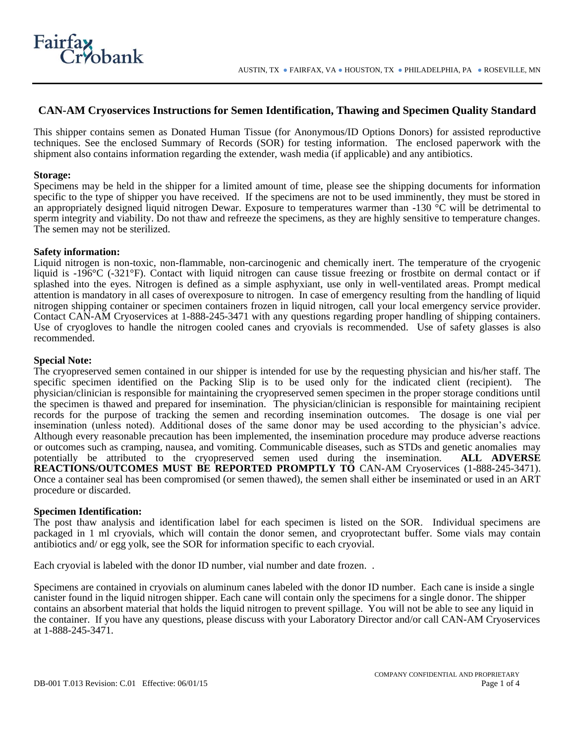

# **CAN-AM Cryoservices Instructions for Semen Identification, Thawing and Specimen Quality Standard**

This shipper contains semen as Donated Human Tissue (for Anonymous/ID Options Donors) for assisted reproductive techniques. See the enclosed Summary of Records (SOR) for testing information. The enclosed paperwork with the shipment also contains information regarding the extender, wash media (if applicable) and any antibiotics.

#### **Storage:**

Specimens may be held in the shipper for a limited amount of time, please see the shipping documents for information specific to the type of shipper you have received. If the specimens are not to be used imminently, they must be stored in an appropriately designed liquid nitrogen Dewar. Exposure to temperatures warmer than -130 °C will be detrimental to sperm integrity and viability. Do not thaw and refreeze the specimens, as they are highly sensitive to temperature changes. The semen may not be sterilized.

## **Safety information:**

Liquid nitrogen is non-toxic, non-flammable, non-carcinogenic and chemically inert. The temperature of the cryogenic liquid is -196°C (-321°F). Contact with liquid nitrogen can cause tissue freezing or frostbite on dermal contact or if splashed into the eyes. Nitrogen is defined as a simple asphyxiant, use only in well-ventilated areas. Prompt medical attention is mandatory in all cases of overexposure to nitrogen. In case of emergency resulting from the handling of liquid nitrogen shipping container or specimen containers frozen in liquid nitrogen, call your local emergency service provider. Contact CAN-AM Cryoservices at 1-888-245-3471 with any questions regarding proper handling of shipping containers. Use of cryogloves to handle the nitrogen cooled canes and cryovials is recommended. Use of safety glasses is also recommended.

## **Special Note:**

The cryopreserved semen contained in our shipper is intended for use by the requesting physician and his/her staff. The specific specimen identified on the Packing Slip is to be used only for the indicated client (recipient). The physician/clinician is responsible for maintaining the cryopreserved semen specimen in the proper storage conditions until the specimen is thawed and prepared for insemination. The physician/clinician is responsible for maintaining recipient records for the purpose of tracking the semen and recording insemination outcomes. The dosage is one vial per insemination (unless noted). Additional doses of the same donor may be used according to the physician's advice. Although every reasonable precaution has been implemented, the insemination procedure may produce adverse reactions or outcomes such as cramping, nausea, and vomiting. Communicable diseases, such as STDs and genetic anomalies may potentially be attributed to the cryopreserved semen used during the insemination. **ALL ADVERSE REACTIONS/OUTCOMES MUST BE REPORTED PROMPTLY TO** CAN-AM Cryoservices (1-888-245-3471). Once a container seal has been compromised (or semen thawed), the semen shall either be inseminated or used in an ART procedure or discarded.

#### **Specimen Identification:**

The post thaw analysis and identification label for each specimen is listed on the SOR. Individual specimens are packaged in 1 ml cryovials, which will contain the donor semen, and cryoprotectant buffer. Some vials may contain antibiotics and/ or egg yolk, see the SOR for information specific to each cryovial.

Each cryovial is labeled with the donor ID number, vial number and date frozen. .

Specimens are contained in cryovials on aluminum canes labeled with the donor ID number. Each cane is inside a single canister found in the liquid nitrogen shipper. Each cane will contain only the specimens for a single donor. The shipper contains an absorbent material that holds the liquid nitrogen to prevent spillage. You will not be able to see any liquid in the container. If you have any questions, please discuss with your Laboratory Director and/or call CAN-AM Cryoservices at 1-888-245-3471.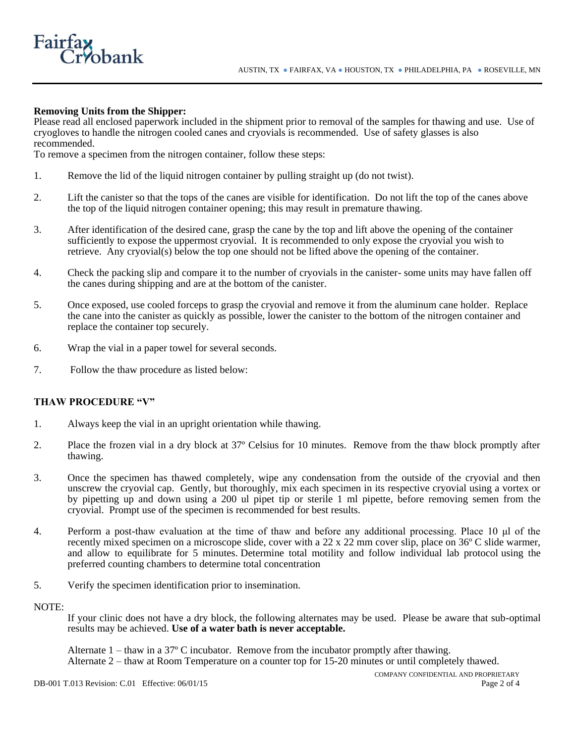# **Removing Units from the Shipper:**

bank

**Fairf:** 

Please read all enclosed paperwork included in the shipment prior to removal of the samples for thawing and use. Use of cryogloves to handle the nitrogen cooled canes and cryovials is recommended. Use of safety glasses is also recommended.

To remove a specimen from the nitrogen container, follow these steps:

- 1. Remove the lid of the liquid nitrogen container by pulling straight up (do not twist).
- 2. Lift the canister so that the tops of the canes are visible for identification. Do not lift the top of the canes above the top of the liquid nitrogen container opening; this may result in premature thawing.
- 3. After identification of the desired cane, grasp the cane by the top and lift above the opening of the container sufficiently to expose the uppermost cryovial. It is recommended to only expose the cryovial you wish to retrieve. Any cryovial(s) below the top one should not be lifted above the opening of the container.
- 4. Check the packing slip and compare it to the number of cryovials in the canister- some units may have fallen off the canes during shipping and are at the bottom of the canister.
- 5. Once exposed, use cooled forceps to grasp the cryovial and remove it from the aluminum cane holder. Replace the cane into the canister as quickly as possible, lower the canister to the bottom of the nitrogen container and replace the container top securely.
- 6. Wrap the vial in a paper towel for several seconds.
- 7. Follow the thaw procedure as listed below:

## **THAW PROCEDURE "V"**

- 1. Always keep the vial in an upright orientation while thawing.
- 2. Place the frozen vial in a dry block at 37º Celsius for 10 minutes. Remove from the thaw block promptly after thawing.
- 3. Once the specimen has thawed completely, wipe any condensation from the outside of the cryovial and then unscrew the cryovial cap. Gently, but thoroughly, mix each specimen in its respective cryovial using a vortex or by pipetting up and down using a 200 ul pipet tip or sterile 1 ml pipette, before removing semen from the cryovial. Prompt use of the specimen is recommended for best results.
- 4. Perform a post-thaw evaluation at the time of thaw and before any additional processing. Place 10 μl of the recently mixed specimen on a microscope slide, cover with a 22 x 22 mm cover slip, place on 36º C slide warmer, and allow to equilibrate for 5 minutes. Determine total motility and follow individual lab protocol using the preferred counting chambers to determine total concentration
- 5. Verify the specimen identification prior to insemination.

NOTE:

If your clinic does not have a dry block, the following alternates may be used. Please be aware that sub-optimal results may be achieved. **Use of a water bath is never acceptable.**

Alternate  $1 -$  thaw in a 37 $\degree$  C incubator. Remove from the incubator promptly after thawing. Alternate 2 – thaw at Room Temperature on a counter top for 15-20 minutes or until completely thawed.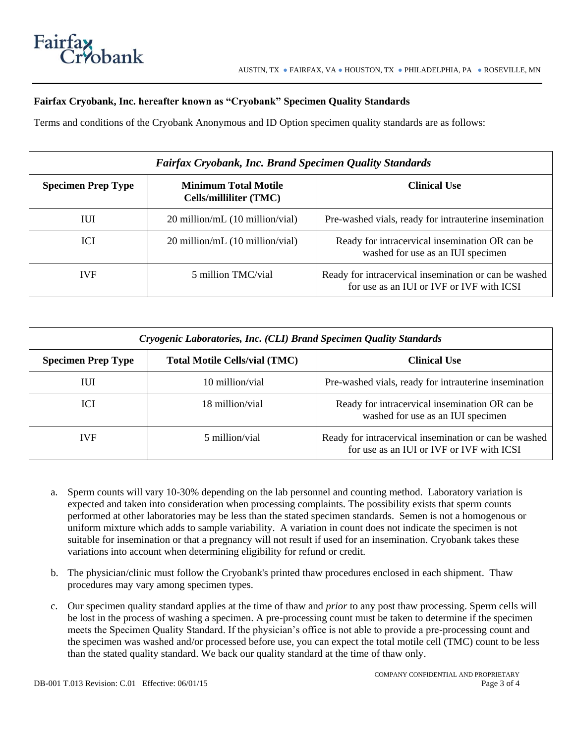# **Fairfax Cryobank, Inc. hereafter known as "Cryobank" Specimen Quality Standards**

Terms and conditions of the Cryobank Anonymous and ID Option specimen quality standards are as follows:

| <b>Fairfax Cryobank, Inc. Brand Specimen Quality Standards</b> |                                                       |                                                                                                    |
|----------------------------------------------------------------|-------------------------------------------------------|----------------------------------------------------------------------------------------------------|
| <b>Specimen Prep Type</b>                                      | <b>Minimum Total Motile</b><br>Cells/milliliter (TMC) | <b>Clinical Use</b>                                                                                |
| ПЛ                                                             | 20 million/mL (10 million/vial)                       | Pre-washed vials, ready for intrauterine insemination                                              |
| ICI                                                            | $20$ million/mL $(10$ million/vial)                   | Ready for intracervical insemination OR can be<br>washed for use as an IUI specimen                |
| <b>IVF</b>                                                     | 5 million TMC/vial                                    | Ready for intracervical insemination or can be washed<br>for use as an IUI or IVF or IVF with ICSI |

| Cryogenic Laboratories, Inc. (CLI) Brand Specimen Quality Standards |                                      |                                                                                                    |  |
|---------------------------------------------------------------------|--------------------------------------|----------------------------------------------------------------------------------------------------|--|
| <b>Specimen Prep Type</b>                                           | <b>Total Motile Cells/vial (TMC)</b> | <b>Clinical Use</b>                                                                                |  |
| IUI                                                                 | 10 million/vial                      | Pre-washed vials, ready for intrauterine insemination                                              |  |
| <b>ICI</b>                                                          | 18 million/vial                      | Ready for intracervical insemination OR can be<br>washed for use as an IUI specimen                |  |
| <b>IVF</b>                                                          | 5 million/vial                       | Ready for intracervical insemination or can be washed<br>for use as an IUI or IVF or IVF with ICSI |  |

- a. Sperm counts will vary 10-30% depending on the lab personnel and counting method. Laboratory variation is expected and taken into consideration when processing complaints. The possibility exists that sperm counts performed at other laboratories may be less than the stated specimen standards. Semen is not a homogenous or uniform mixture which adds to sample variability. A variation in count does not indicate the specimen is not suitable for insemination or that a pregnancy will not result if used for an insemination. Cryobank takes these variations into account when determining eligibility for refund or credit.
- b. The physician/clinic must follow the Cryobank's printed thaw procedures enclosed in each shipment. Thaw procedures may vary among specimen types.
- c. Our specimen quality standard applies at the time of thaw and *prior* to any post thaw processing. Sperm cells will be lost in the process of washing a specimen. A pre-processing count must be taken to determine if the specimen meets the Specimen Quality Standard. If the physician's office is not able to provide a pre-processing count and the specimen was washed and/or processed before use, you can expect the total motile cell (TMC) count to be less than the stated quality standard. We back our quality standard at the time of thaw only.